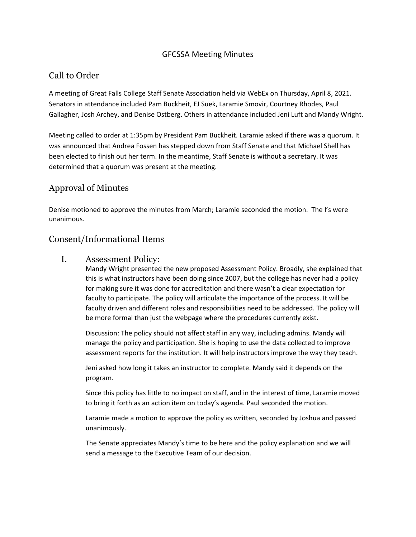#### GFCSSA Meeting Minutes

# Call to Order

A meeting of Great Falls College Staff Senate Association held via WebEx on Thursday, April 8, 2021. Senators in attendance included Pam Buckheit, EJ Suek, Laramie Smovir, Courtney Rhodes, Paul Gallagher, Josh Archey, and Denise Ostberg. Others in attendance included Jeni Luft and Mandy Wright.

Meeting called to order at 1:35pm by President Pam Buckheit. Laramie asked if there was a quorum. It was announced that Andrea Fossen has stepped down from Staff Senate and that Michael Shell has been elected to finish out her term. In the meantime, Staff Senate is without a secretary. It was determined that a quorum was present at the meeting.

# Approval of Minutes

Denise motioned to approve the minutes from March; Laramie seconded the motion. The I's were unanimous.

#### Consent/Informational Items

I. Assessment Policy:

Mandy Wright presented the new proposed Assessment Policy. Broadly, she explained that this is what instructors have been doing since 2007, but the college has never had a policy for making sure it was done for accreditation and there wasn't a clear expectation for faculty to participate. The policy will articulate the importance of the process. It will be faculty driven and different roles and responsibilities need to be addressed. The policy will be more formal than just the webpage where the procedures currently exist.

Discussion: The policy should not affect staff in any way, including admins. Mandy will manage the policy and participation. She is hoping to use the data collected to improve assessment reports for the institution. It will help instructors improve the way they teach.

Jeni asked how long it takes an instructor to complete. Mandy said it depends on the program.

Since this policy has little to no impact on staff, and in the interest of time, Laramie moved to bring it forth as an action item on today's agenda. Paul seconded the motion.

Laramie made a motion to approve the policy as written, seconded by Joshua and passed unanimously.

The Senate appreciates Mandy's time to be here and the policy explanation and we will send a message to the Executive Team of our decision.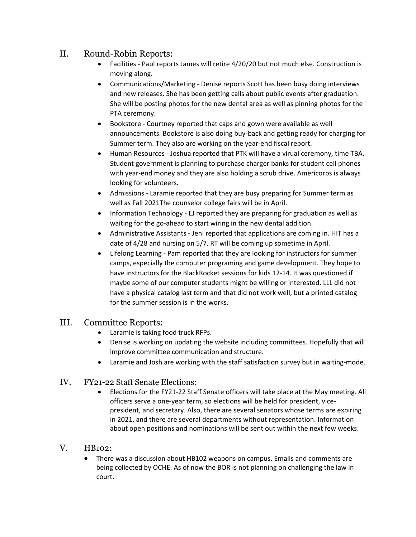## II. Round-Robin Reports:

- Facilities ‐ Paul reports James will retire 4/20/20 but not much else. Construction is moving along.
- Communications/Marketing Denise reports Scott has been busy doing interviews and new releases. She has been getting calls about public events after graduation. She will be posting photos for the new dental area as well as pinning photos for the PTA ceremony.
- Bookstore Courtney reported that caps and gown were available as well announcements. Bookstore is also doing buy‐back and getting ready for charging for Summer term. They also are working on the year-end fiscal report.
- Human Resources ‐ Joshua reported that PTK will have a virual ceremony, time TBA. Student government is planning to purchase charger banks for student cell phones with year-end money and they are also holding a scrub drive. Americorps is always looking for volunteers.
- Admissions ‐ Laramie reported that they are busy preparing for Summer term as well as Fall 2021The counselor college fairs will be in April.
- Information Technology ‐ EJ reported they are preparing for graduation as well as waiting for the go-ahead to start wiring in the new dental addition.
- Administrative Assistants Jeni reported that applications are coming in. HIT has a date of 4/28 and nursing on 5/7. RT will be coming up sometime in April.
- Lifelong Learning ‐ Pam reported that they are looking for instructors for summer camps, especially the computer programing and game development. They hope to have instructors for the BlackRocket sessions for kids 12‐14. It was questioned if maybe some of our computer students might be willing or interested. LLL did not have a physical catalog last term and that did not work well, but a printed catalog for the summer session is in the works.

## III. Committee Reports:

- Laramie is taking food truck RFPs.
- Denise is working on updating the website including committees. Hopefully that will improve committee communication and structure.
- Laramie and Josh are working with the staff satisfaction survey but in waiting‐mode.

#### IV. FY21-22 Staff Senate Elections:

 Elections for the FY21‐22 Staff Senate officers will take place at the May meeting. All officers serve a one‐year term, so elections will be held for president, vice‐ president, and secretary. Also, there are several senators whose terms are expiring in 2021, and there are several departments without representation. Information about open positions and nominations will be sent out within the next few weeks.

#### V. HB102:

 There was a discussion about HB102 weapons on campus. Emails and comments are being collected by OCHE. As of now the BOR is not planning on challenging the law in court.